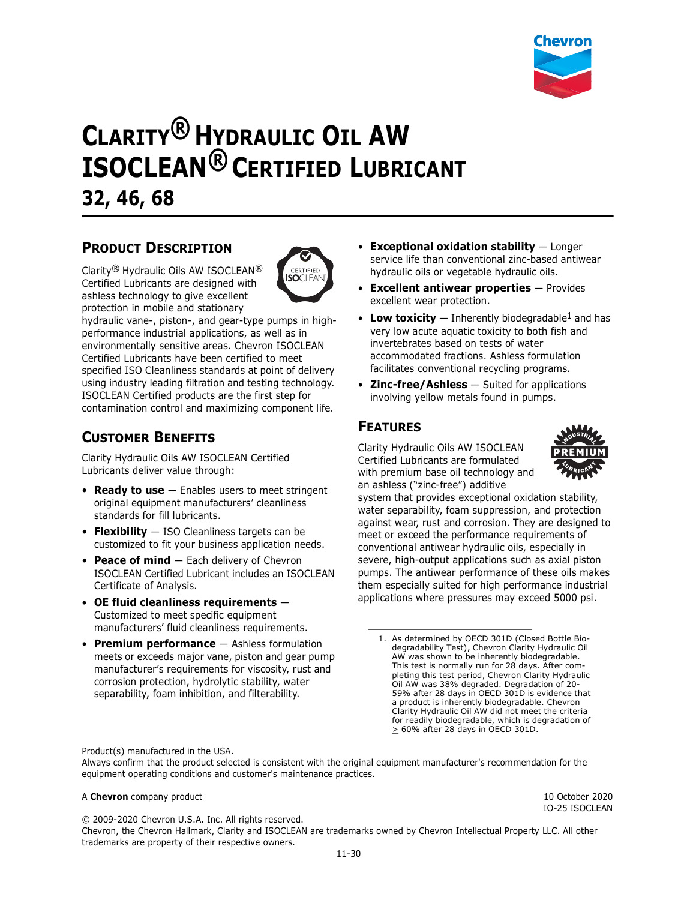

# **CLARITY® HYDRAULIC OIL AW ISOCLEAN® CERTIFIED LUBRICANT 32, 46, 68**

## **PRODUCT DESCRIPTION**

Clarity® Hydraulic Oils AW ISOCLEAN® Certified Lubricants are designed with ashless technology to give excellent protection in mobile and stationary



hydraulic vane-, piston-, and gear-type pumps in highperformance industrial applications, as well as in environmentally sensitive areas. Chevron ISOCLEAN Certified Lubricants have been certified to meet specified ISO Cleanliness standards at point of delivery using industry leading filtration and testing technology. ISOCLEAN Certified products are the first step for contamination control and maximizing component life.

## **CUSTOMER BENEFITS**

Clarity Hydraulic Oils AW ISOCLEAN Certified Lubricants deliver value through:

- **Ready to use** Enables users to meet stringent original equipment manufacturers' cleanliness standards for fill lubricants.
- **Flexibility** ISO Cleanliness targets can be customized to fit your business application needs.
- **Peace of mind** Each delivery of Chevron ISOCLEAN Certified Lubricant includes an ISOCLEAN Certificate of Analysis.
- **OE fluid cleanliness requirements** Customized to meet specific equipment manufacturers' fluid cleanliness requirements.
- **Premium performance** Ashless formulation meets or exceeds major vane, piston and gear pump manufacturer's requirements for viscosity, rust and corrosion protection, hydrolytic stability, water separability, foam inhibition, and filterability.
- **Exceptional oxidation stability** Longer service life than conventional zinc-based antiwear hydraulic oils or vegetable hydraulic oils.
- **Excellent antiwear properties** Provides excellent wear protection.
- Low toxicity  $-$  Inherently biodegradable<sup>1</sup> and has very low acute aquatic toxicity to both fish and invertebrates based on tests of water accommodated fractions. Ashless formulation facilitates conventional recycling programs.
- **Zinc-free/Ashless** Suited for applications involving yellow metals found in pumps.

## **FEATURES**

Clarity Hydraulic Oils AW ISOCLEAN Certified Lubricants are formulated with premium base oil technology and an ashless ("zinc-free") additive



system that provides exceptional oxidation stability, water separability, foam suppression, and protection against wear, rust and corrosion. They are designed to meet or exceed the performance requirements of conventional antiwear hydraulic oils, especially in severe, high-output applications such as axial piston pumps. The antiwear performance of these oils makes them especially suited for high performance industrial applications where pressures may exceed 5000 psi.

1. As determined by OECD 301D (Closed Bottle Biodegradability Test), Chevron Clarity Hydraulic Oil AW was shown to be inherently biodegradable. This test is normally run for 28 days. After completing this test period, Chevron Clarity Hydraulic Oil AW was 38% degraded. Degradation of 20- 59% after 28 days in OECD 301D is evidence that a product is inherently biodegradable. Chevron Clarity Hydraulic Oil AW did not meet the criteria for readily biodegradable, which is degradation of  $\geq$  60% after 28 days in OECD 301D.

Product(s) manufactured in the USA.

Always confirm that the product selected is consistent with the original equipment manufacturer's recommendation for the equipment operating conditions and customer's maintenance practices.

#### A **Chevron** company product **10** October 2020

© 2009-2020 Chevron U.S.A. Inc. All rights reserved.

IO-25 ISOCLEAN

Chevron, the Chevron Hallmark, Clarity and ISOCLEAN are trademarks owned by Chevron Intellectual Property LLC. All other trademarks are property of their respective owners.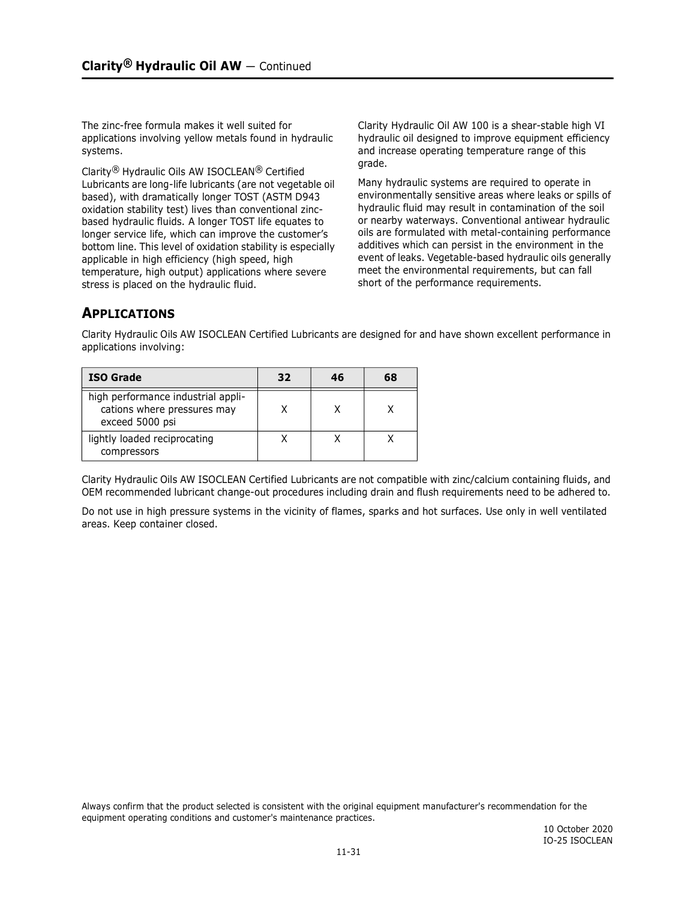The zinc-free formula makes it well suited for applications involving yellow metals found in hydraulic systems.

Clarity® Hydraulic Oils AW ISOCLEAN® Certified Lubricants are long-life lubricants (are not vegetable oil based), with dramatically longer TOST (ASTM D943 oxidation stability test) lives than conventional zincbased hydraulic fluids. A longer TOST life equates to longer service life, which can improve the customer's bottom line. This level of oxidation stability is especially applicable in high efficiency (high speed, high temperature, high output) applications where severe stress is placed on the hydraulic fluid.

Clarity Hydraulic Oil AW 100 is a shear-stable high VI hydraulic oil designed to improve equipment efficiency and increase operating temperature range of this grade.

Many hydraulic systems are required to operate in environmentally sensitive areas where leaks or spills of hydraulic fluid may result in contamination of the soil or nearby waterways. Conventional antiwear hydraulic oils are formulated with metal-containing performance additives which can persist in the environment in the event of leaks. Vegetable-based hydraulic oils generally meet the environmental requirements, but can fall short of the performance requirements.

## **APPLICATIONS**

Clarity Hydraulic Oils AW ISOCLEAN Certified Lubricants are designed for and have shown excellent performance in applications involving:

| <b>ISO Grade</b>                                                                     | 32 | 46 | 68 |
|--------------------------------------------------------------------------------------|----|----|----|
| high performance industrial appli-<br>cations where pressures may<br>exceed 5000 psi |    |    |    |
| lightly loaded reciprocating<br>compressors                                          |    |    |    |

Clarity Hydraulic Oils AW ISOCLEAN Certified Lubricants are not compatible with zinc/calcium containing fluids, and OEM recommended lubricant change-out procedures including drain and flush requirements need to be adhered to.

Do not use in high pressure systems in the vicinity of flames, sparks and hot surfaces. Use only in well ventilated areas. Keep container closed.

Always confirm that the product selected is consistent with the original equipment manufacturer's recommendation for the equipment operating conditions and customer's maintenance practices.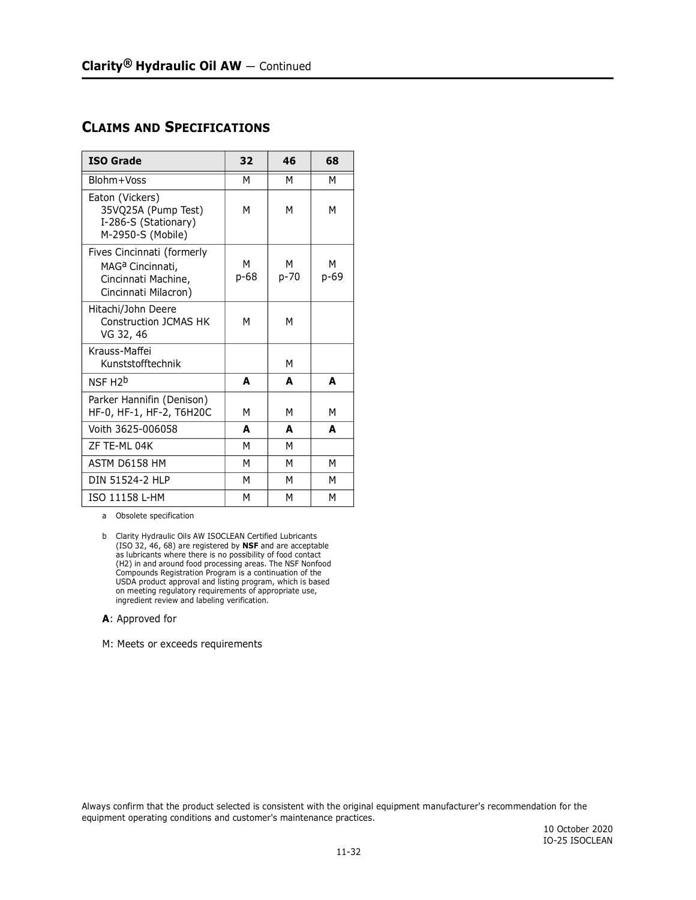### **CLAIMS AND SPECIFICATIONS**

| <b>ISO Grade</b>                                                                                          | 32        | 46            | 68        |
|-----------------------------------------------------------------------------------------------------------|-----------|---------------|-----------|
| Blohm+Voss                                                                                                | М         | М             | М         |
| Eaton (Vickers)<br>35VQ25A (Pump Test)<br>I-286-S (Stationary)<br>M-2950-S (Mobile)                       | М         | м             | м         |
| Fives Cincinnati (formerly<br>MAG <sup>a</sup> Cincinnati,<br>Cincinnati Machine,<br>Cincinnati Milacron) | М<br>p-68 | м<br>$p - 70$ | м<br>p-69 |
| Hitachi/John Deere<br>Construction 1CMAS HK<br>VG 32, 46                                                  | М         | M             |           |
| Krauss-Maffei<br>Kunststofftechnik                                                                        |           | M             |           |
| NSF H <sub>2</sub> b                                                                                      | A         | A             | A         |
| Parker Hannifin (Denison)<br>HF-0, HF-1, HF-2, T6H20C                                                     | М         | м             | М         |
| Voith 3625-006058                                                                                         | A         | A             | A         |
| 7F TF-MI 04K                                                                                              | М         | М             |           |
| ASTM D6158 HM                                                                                             | М         | М             |           |
| DIN 51524-2 HLP                                                                                           | М         | м             | м         |
| ISO 11158 L-HM                                                                                            | М         | М             | м         |

a Obsolete specification

#### **A**: Approved for

M: Meets or exceeds requirements

Always confirm that the product selected is consistent with the original equipment manufacturer's recommendation for the equipment operating conditions and customer's maintenance practices.

b Clarity Hydraulic Oils AW ISOCLEAN Certified Lubricants (ISO 32, 46, 68) are registered by **NSF** and are acceptable as lubricants where there is no possibility of food contact (H2) in and around food processing areas. The NSF Nonfood Compounds Registration Program is a continuation of the USDA product approval and listing program, which is based on meeting regulatory requirements of appropriate use, ingredient review and labeling verification.